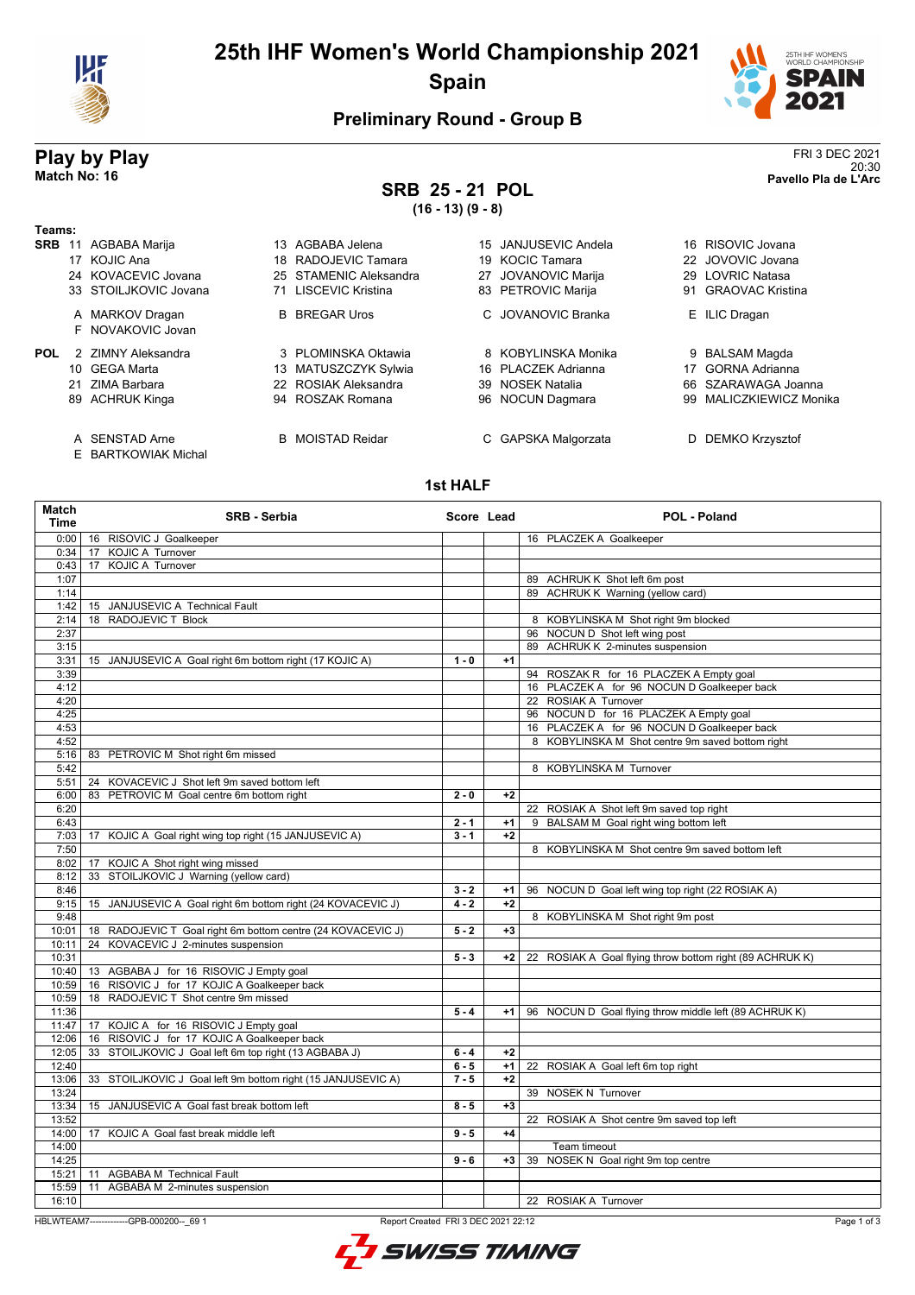

### **25th IHF Women's World Championship 2021 Spain**



20:30 **Match No: 16 Pavello Pla de L'Arc**

#### **Preliminary Round - Group B**

# **Play by Play**<br>Match No: 16<br>Pavello Pla de L'Arc

## **SRB 25 - 21 POL**

**(16 - 13) (9 - 8)**

| Teams:     |                                       |                         |                               |                            |
|------------|---------------------------------------|-------------------------|-------------------------------|----------------------------|
| <b>SRB</b> | AGBABA Marija<br>11                   | 13 AGBABA Jelena        | JANJUSEVIC Andela<br>15       | 16 RISOVIC Jovana          |
|            | 17 KOJIC Ana                          | RADOJEVIC Tamara<br>18  | <b>KOCIC Tamara</b><br>19     | JOVOVIC Jovana<br>22.      |
|            | 24 KOVACEVIC Jovana                   | 25 STAMENIC Aleksandra  | <b>JOVANOVIC Marija</b><br>27 | 29 LOVRIC Natasa           |
|            | 33 STOILJKOVIC Jovana                 | 71 LISCEVIC Kristina    | 83 PETROVIC Marija            | 91 GRAOVAC Kristina        |
|            | A MARKOV Dragan<br>F NOVAKOVIC Jovan  | <b>B</b> BREGAR Uros    | C. JOVANOVIC Branka           | E ILIC Dragan              |
| POL        | 2 ZIMNY Aleksandra                    | 3 PLOMINSKA Oktawia     | 8 KOBYLINSKA Monika           | BALSAM Magda<br>9          |
|            | 10 GEGA Marta                         | 13 MATUSZCZYK Sylwia    | PLACZEK Adrianna<br>16.       | GORNA Adrianna<br>17       |
|            | ZIMA Barbara<br>21                    | 22 ROSIAK Aleksandra    | <b>NOSEK Natalia</b><br>39.   | SZARAWAGA Joanna<br>66.    |
|            | 89 ACHRUK Kinga                       | 94 ROSZAK Romana        | NOCUN Dagmara<br>96           | MALICZKIEWICZ Monika<br>99 |
|            | A SENSTAD Arne<br>E BARTKOWIAK Michal | <b>B</b> MOISTAD Reidar | C GAPSKA Malgorzata           | DEMKO Krzysztof            |

#### **1st HALF**

| Match<br><b>Time</b> | <b>SRB - Serbia</b>                                          | Score Lead |      | <b>POL - Poland</b>                                      |
|----------------------|--------------------------------------------------------------|------------|------|----------------------------------------------------------|
| 0:00                 | 16 RISOVIC J Goalkeeper                                      |            |      | 16 PLACZEK A Goalkeeper                                  |
| 0:34                 | 17 KOJIC A Turnover                                          |            |      |                                                          |
| 0:43                 | 17 KOJIC A Turnover                                          |            |      |                                                          |
| 1:07                 |                                                              |            |      | 89 ACHRUK K Shot left 6m post                            |
| 1:14                 |                                                              |            |      | 89 ACHRUK K Warning (yellow card)                        |
| 1:42                 | 15 JANJUSEVIC A Technical Fault                              |            |      |                                                          |
| 2:14                 | 18 RADOJEVIC T Block                                         |            |      | 8 KOBYLINSKA M Shot right 9m blocked                     |
| 2:37                 |                                                              |            |      | 96 NOCUN D Shot left wing post                           |
| 3:15                 |                                                              |            |      | 89 ACHRUK K 2-minutes suspension                         |
| 3:31                 | 15 JANJUSEVIC A Goal right 6m bottom right (17 KOJIC A)      | $1 - 0$    | $+1$ |                                                          |
| 3:39                 |                                                              |            |      | 94 ROSZAK R for 16 PLACZEK A Empty goal                  |
| 4:12                 |                                                              |            |      | 16 PLACZEK A for 96 NOCUN D Goalkeeper back              |
| 4:20                 |                                                              |            |      | 22 ROSIAK A Turnover                                     |
| 4:25                 |                                                              |            |      | 96 NOCUN D for 16 PLACZEK A Empty goal                   |
| 4:53                 |                                                              |            |      | 16 PLACZEK A for 96 NOCUN D Goalkeeper back              |
| 4:52                 |                                                              |            |      | 8 KOBYLINSKA M Shot centre 9m saved bottom right         |
| 5:16                 | 83 PETROVIC M Shot right 6m missed                           |            |      |                                                          |
| 5:42                 |                                                              |            |      | 8 KOBYLINSKA M Turnover                                  |
| 5:51                 | 24 KOVACEVIC J Shot left 9m saved bottom left                |            |      |                                                          |
| 6:00                 | 83 PETROVIC M Goal centre 6m bottom right                    | $2 - 0$    | $+2$ |                                                          |
| 6:20                 |                                                              |            |      | 22 ROSIAK A Shot left 9m saved top right                 |
| 6:43                 |                                                              | $2 - 1$    | $+1$ | 9 BALSAM M Goal right wing bottom left                   |
| 7:03                 | 17 KOJIC A Goal right wing top right (15 JANJUSEVIC A)       | $3 - 1$    | $+2$ |                                                          |
| 7:50                 |                                                              |            |      | 8 KOBYLINSKA M Shot centre 9m saved bottom left          |
| 8:02                 | 17 KOJIC A Shot right wing missed                            |            |      |                                                          |
| 8:12                 | 33 STOILJKOVIC J Warning (yellow card)                       |            |      |                                                          |
| 8:46                 |                                                              | $3 - 2$    | $+1$ | 96 NOCUN D Goal left wing top right (22 ROSIAK A)        |
| 9:15                 | 15 JANJUSEVIC A Goal right 6m bottom right (24 KOVACEVIC J)  | $4 - 2$    | $+2$ |                                                          |
| 9:48                 |                                                              |            |      | 8 KOBYLINSKA M Shot right 9m post                        |
| 10:01                | 18 RADOJEVIC T Goal right 6m bottom centre (24 KOVACEVIC J)  | $5 - 2$    | $+3$ |                                                          |
| 10:11                | 24 KOVACEVIC J 2-minutes suspension                          |            |      |                                                          |
| 10:31                |                                                              | $5 - 3$    | $+2$ | 22 ROSIAK A Goal flying throw bottom right (89 ACHRUK K) |
| 10:40                | 13 AGBABA J for 16 RISOVIC J Empty goal                      |            |      |                                                          |
| 10:59                | 16 RISOVIC J for 17 KOJIC A Goalkeeper back                  |            |      |                                                          |
| 10:59                | 18 RADOJEVIC T Shot centre 9m missed                         |            |      |                                                          |
| 11:36                |                                                              | $5 - 4$    | $+1$ | 96 NOCUN D Goal flying throw middle left (89 ACHRUK K)   |
| 11:47                | 17 KOJIC A for 16 RISOVIC J Empty goal                       |            |      |                                                          |
| 12:06                | 16 RISOVIC J for 17 KOJIC A Goalkeeper back                  |            |      |                                                          |
| 12:05                | 33 STOILJKOVIC J Goal left 6m top right (13 AGBABA J)        | $6 - 4$    | $+2$ |                                                          |
| 12:40                |                                                              | $6 - 5$    | $+1$ | 22 ROSIAK A Goal left 6m top right                       |
| 13:06                | 33 STOILJKOVIC J Goal left 9m bottom right (15 JANJUSEVIC A) | $7 - 5$    | $+2$ |                                                          |
| 13:24                |                                                              |            |      | 39 NOSEK N Turnover                                      |
| 13:34                | 15 JANJUSEVIC A Goal fast break bottom left                  | $8 - 5$    | $+3$ |                                                          |
| 13:52                |                                                              |            |      | 22 ROSIAK A Shot centre 9m saved top left                |
| 14:00                | 17 KOJIC A Goal fast break middle left                       | $9 - 5$    | $+4$ |                                                          |
| 14:00                |                                                              |            |      | Team timeout                                             |
| 14:25                |                                                              | $9 - 6$    | $+3$ | 39 NOSEK N Goal right 9m top centre                      |
| 15:21                | 11 AGBABA M Technical Fault                                  |            |      |                                                          |
| 15:59                | AGBABA M 2-minutes suspension<br>11                          |            |      |                                                          |
| 16:10                |                                                              |            |      | 22 ROSIAK A Turnover                                     |

HBLWTEAM7-------------GPB-000200--\_69 1 Report Created FRI 3 DEC 2021 22:12

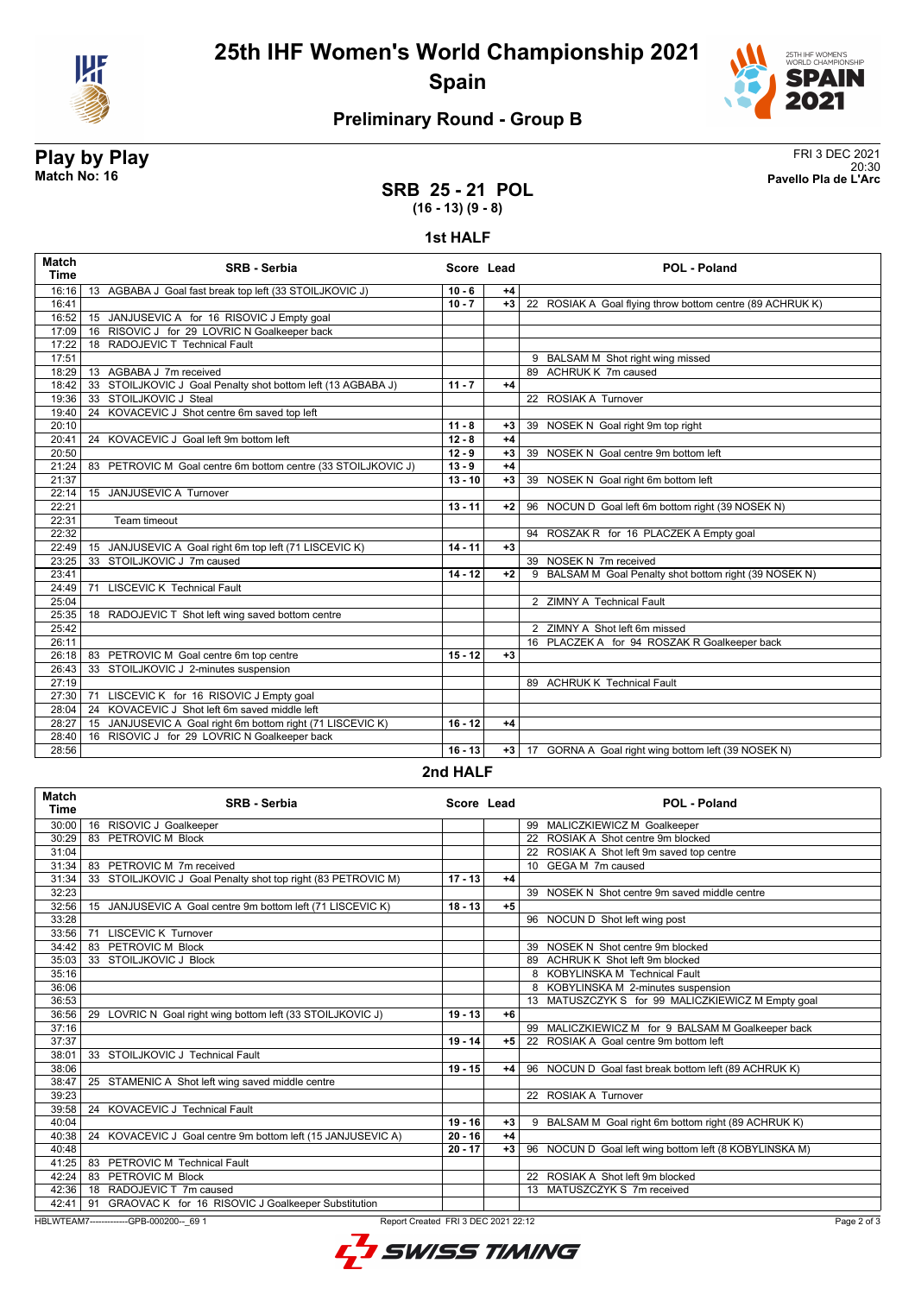

**25th IHF Women's World Championship 2021 Spain**



### **Preliminary Round - Group B**

# **Play by Play**<br>Match No: 16<br>Pavello Pla de L'Arc

20:30 **Match No: 16 Pavello Pla de L'Arc**

#### **SRB 25 - 21 POL (16 - 13) (9 - 8)**

#### **1st HALF**

| <b>Match</b><br><b>Time</b> | <b>SRB - Serbia</b>                                           | Score Lead |      | POL - Poland                                              |
|-----------------------------|---------------------------------------------------------------|------------|------|-----------------------------------------------------------|
| 16:16                       | 13 AGBABA J Goal fast break top left (33 STOILJKOVIC J)       | $10 - 6$   | $+4$ |                                                           |
| 16:41                       |                                                               | $10 - 7$   | $+3$ | 22 ROSIAK A Goal flying throw bottom centre (89 ACHRUK K) |
| 16:52                       | 15 JANJUSEVIC A for 16 RISOVIC J Empty goal                   |            |      |                                                           |
| 17:09                       | 16 RISOVIC J for 29 LOVRIC N Goalkeeper back                  |            |      |                                                           |
| 17:22                       | 18 RADOJEVIC T Technical Fault                                |            |      |                                                           |
| 17:51                       |                                                               |            |      | 9 BALSAM M Shot right wing missed                         |
| 18:29                       | 13 AGBABA J 7m received                                       |            |      | 89 ACHRUK K 7m caused                                     |
| 18:42                       | 33 STOILJKOVIC J Goal Penalty shot bottom left (13 AGBABA J)  | $11 - 7$   | $+4$ |                                                           |
| 19:36                       | 33 STOILJKOVIC J Steal                                        |            |      | 22 ROSIAK A Turnover                                      |
| 19:40                       | 24 KOVACEVIC J Shot centre 6m saved top left                  |            |      |                                                           |
| 20:10                       |                                                               | $11 - 8$   | $+3$ | 39 NOSEK N Goal right 9m top right                        |
| 20:41                       | 24 KOVACEVIC J Goal left 9m bottom left                       | $12 - 8$   | $+4$ |                                                           |
| 20:50                       |                                                               | $12 - 9$   | $+3$ | 39 NOSEK N Goal centre 9m bottom left                     |
| 21:24                       | 83 PETROVIC M Goal centre 6m bottom centre (33 STOILJKOVIC J) | $13 - 9$   | $+4$ |                                                           |
| 21:37                       |                                                               | $13 - 10$  | $+3$ | 39 NOSEK N Goal right 6m bottom left                      |
| 22:14                       | 15 JANJUSEVIC A Turnover                                      |            |      |                                                           |
| 22:21                       |                                                               | $13 - 11$  | $+2$ | 96 NOCUN D Goal left 6m bottom right (39 NOSEK N)         |
| 22:31                       | <b>Team timeout</b>                                           |            |      |                                                           |
| 22:32                       |                                                               |            |      | 94 ROSZAK R for 16 PLACZEK A Empty goal                   |
| 22:49                       | 15 JANJUSEVIC A Goal right 6m top left (71 LISCEVIC K)        | $14 - 11$  | $+3$ |                                                           |
| 23:25                       | 33 STOILJKOVIC J 7m caused                                    |            |      | 39 NOSEK N 7m received                                    |
| 23:41                       |                                                               | $14 - 12$  | $+2$ | 9 BALSAM M Goal Penalty shot bottom right (39 NOSEK N)    |
| 24:49                       | <b>LISCEVIC K Technical Fault</b><br>71                       |            |      |                                                           |
| 25:04                       |                                                               |            |      | 2 ZIMNY A Technical Fault                                 |
| 25:35                       | 18 RADOJEVIC T Shot left wing saved bottom centre             |            |      |                                                           |
| 25:42                       |                                                               |            |      | 2 ZIMNY A Shot left 6m missed                             |
| 26:11                       |                                                               |            |      | 16 PLACZEK A for 94 ROSZAK R Goalkeeper back              |
| 26:18                       | 83 PETROVIC M Goal centre 6m top centre                       | $15 - 12$  | $+3$ |                                                           |
| 26:43                       | 33 STOILJKOVIC J 2-minutes suspension                         |            |      |                                                           |
| 27:19                       |                                                               |            |      | 89 ACHRUK K Technical Fault                               |
| 27:30                       | 71 LISCEVIC K for 16 RISOVIC J Empty goal                     |            |      |                                                           |
| 28:04                       | 24 KOVACEVIC J Shot left 6m saved middle left                 |            |      |                                                           |
| 28:27                       | 15 JANJUSEVIC A Goal right 6m bottom right (71 LISCEVIC K)    | $16 - 12$  | $+4$ |                                                           |
| 28:40                       | 16 RISOVIC J for 29 LOVRIC N Goalkeeper back                  |            |      |                                                           |
| 28:56                       |                                                               | $16 - 13$  | $+3$ | 17 GORNA A Goal right wing bottom left (39 NOSEK N)       |

#### **2nd HALF**

| <b>Match</b><br>Time                                                                          | <b>SRB - Serbia</b>                                          | Score Lead |      | <b>POL - Poland</b>                                    |
|-----------------------------------------------------------------------------------------------|--------------------------------------------------------------|------------|------|--------------------------------------------------------|
| 30:00                                                                                         | 16 RISOVIC J Goalkeeper                                      |            |      | 99 MALICZKIEWICZ M Goalkeeper                          |
| 30:29                                                                                         | 83 PETROVIC M Block                                          |            |      | 22 ROSIAK A Shot centre 9m blocked                     |
| 31:04                                                                                         |                                                              |            |      | 22 ROSIAK A Shot left 9m saved top centre              |
| 31:34                                                                                         | 83 PETROVIC M 7m received                                    |            |      | 10 GEGA M 7m caused                                    |
| 31:34                                                                                         | 33 STOILJKOVIC J Goal Penalty shot top right (83 PETROVIC M) | $17 - 13$  | $+4$ |                                                        |
| 32:23                                                                                         |                                                              |            |      | 39 NOSEK N Shot centre 9m saved middle centre          |
| 32:56                                                                                         | 15 JANJUSEVIC A Goal centre 9m bottom left (71 LISCEVIC K)   | $18 - 13$  | $+5$ |                                                        |
| 33:28                                                                                         |                                                              |            |      | 96 NOCUN D Shot left wing post                         |
| 33:56                                                                                         | <b>LISCEVIC K Turnover</b><br>71                             |            |      |                                                        |
| 34:42                                                                                         | PETROVIC M Block<br>83                                       |            |      | 39 NOSEK N Shot centre 9m blocked                      |
| 35:03                                                                                         | 33 STOILJKOVIC J Block                                       |            |      | 89 ACHRUK K Shot left 9m blocked                       |
| 35:16                                                                                         |                                                              |            |      | 8 KOBYLINSKA M Technical Fault                         |
| 36:06                                                                                         |                                                              |            |      | 8 KOBYLINSKA M 2-minutes suspension                    |
| 36:53                                                                                         |                                                              |            |      | 13 MATUSZCZYK S for 99 MALICZKIEWICZ M Empty goal      |
| 36:56                                                                                         | 29 LOVRIC N Goal right wing bottom left (33 STOILJKOVIC J)   | $19 - 13$  | $+6$ |                                                        |
| 37:16                                                                                         |                                                              |            |      | 99 MALICZKIEWICZ M for 9 BALSAM M Goalkeeper back      |
| 37:37                                                                                         |                                                              | $19 - 14$  | $+5$ | 22 ROSIAK A Goal centre 9m bottom left                 |
| 38:01                                                                                         | 33 STOILJKOVIC J Technical Fault                             |            |      |                                                        |
| 38:06                                                                                         |                                                              | $19 - 15$  | $+4$ | 96 NOCUN D Goal fast break bottom left (89 ACHRUK K)   |
| 38:47                                                                                         | 25 STAMENIC A Shot left wing saved middle centre             |            |      |                                                        |
| 39:23                                                                                         |                                                              |            |      | 22 ROSIAK A Turnover                                   |
| 39:58                                                                                         | 24 KOVACEVIC J Technical Fault                               |            |      |                                                        |
| 40:04                                                                                         |                                                              | $19 - 16$  | $+3$ | 9 BALSAM M Goal right 6m bottom right (89 ACHRUK K)    |
| 40:38                                                                                         | 24 KOVACEVIC J Goal centre 9m bottom left (15 JANJUSEVIC A)  | $20 - 16$  | $+4$ |                                                        |
| 40:48                                                                                         |                                                              | $20 - 17$  | $+3$ | 96 NOCUN D Goal left wing bottom left (8 KOBYLINSKA M) |
| 41:25                                                                                         | PETROVIC M Technical Fault<br>83                             |            |      |                                                        |
| 42:24                                                                                         | 83 PETROVIC M Block                                          |            |      | 22 ROSIAK A Shot left 9m blocked                       |
| 42:36                                                                                         | 18 RADOJEVIC T 7m caused                                     |            |      | 13 MATUSZCZYK S 7m received                            |
| 42:41                                                                                         | 91 GRAOVAC K for 16 RISOVIC J Goalkeeper Substitution        |            |      |                                                        |
| HBLWTEAM7-------------GPB-000200-- 69 1<br>Report Created FRI 3 DEC 2021 22:12<br>Page 2 of 3 |                                                              |            |      |                                                        |